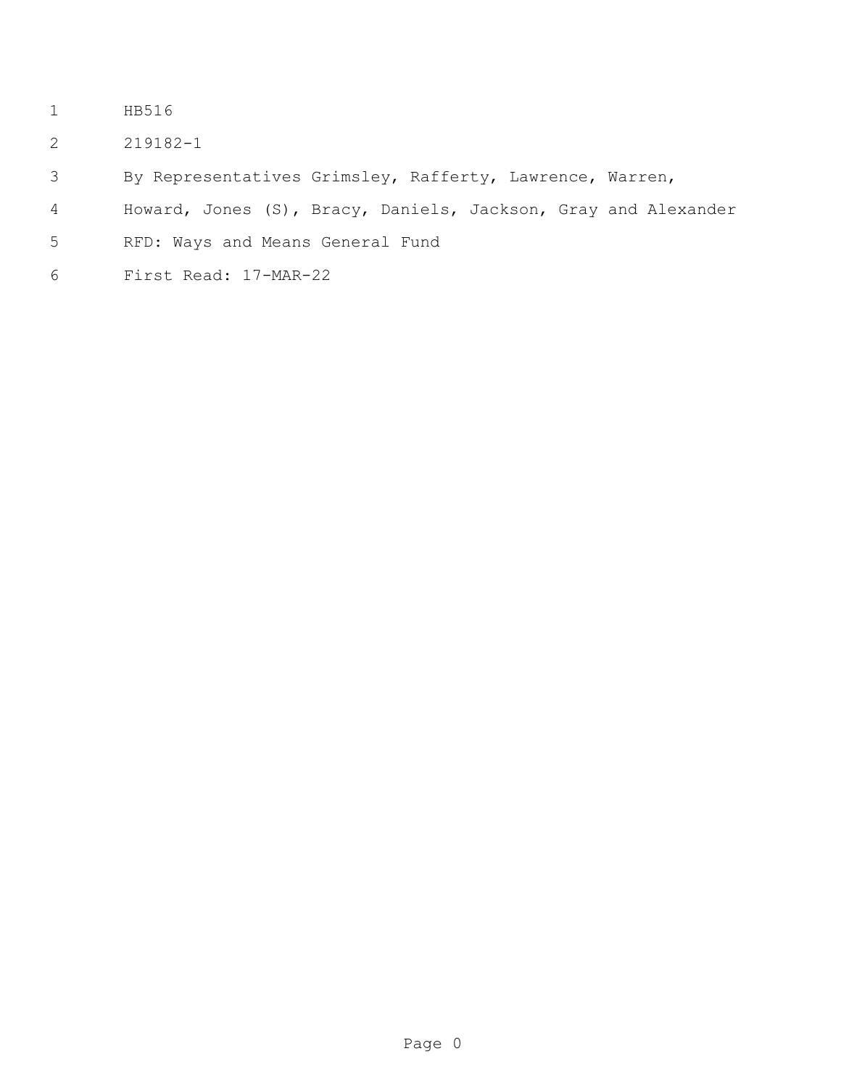- HB516
- 219182-1
- By Representatives Grimsley, Rafferty, Lawrence, Warren,
- Howard, Jones (S), Bracy, Daniels, Jackson, Gray and Alexander
- RFD: Ways and Means General Fund
- First Read: 17-MAR-22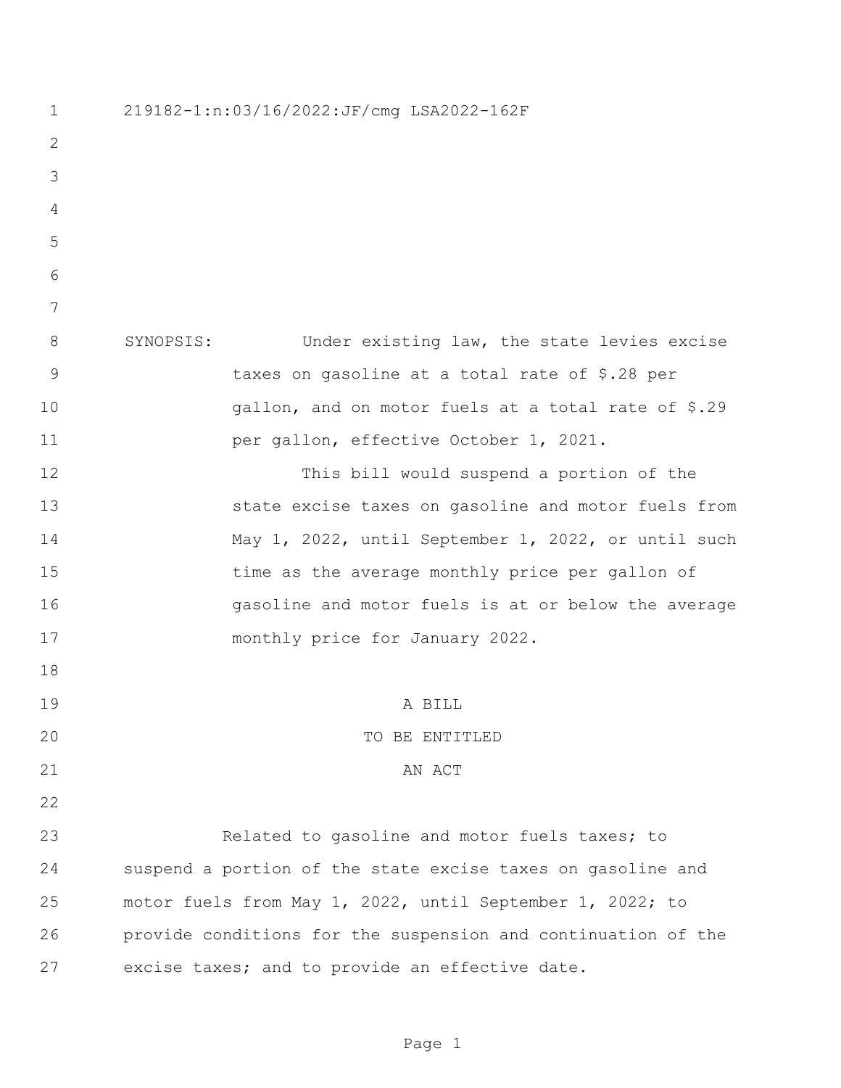219182-1:n:03/16/2022:JF/cmg LSA2022-162F SYNOPSIS: Under existing law, the state levies excise taxes on gasoline at a total rate of \$.28 per gallon, and on motor fuels at a total rate of \$.29 **per gallon, effective October 1, 2021.**  This bill would suspend a portion of the state excise taxes on gasoline and motor fuels from May 1, 2022, until September 1, 2022, or until such time as the average monthly price per gallon of gasoline and motor fuels is at or below the average monthly price for January 2022. A BILL 20 TO BE ENTITLED 21 AN ACT Related to gasoline and motor fuels taxes; to suspend a portion of the state excise taxes on gasoline and motor fuels from May 1, 2022, until September 1, 2022; to provide conditions for the suspension and continuation of the excise taxes; and to provide an effective date.